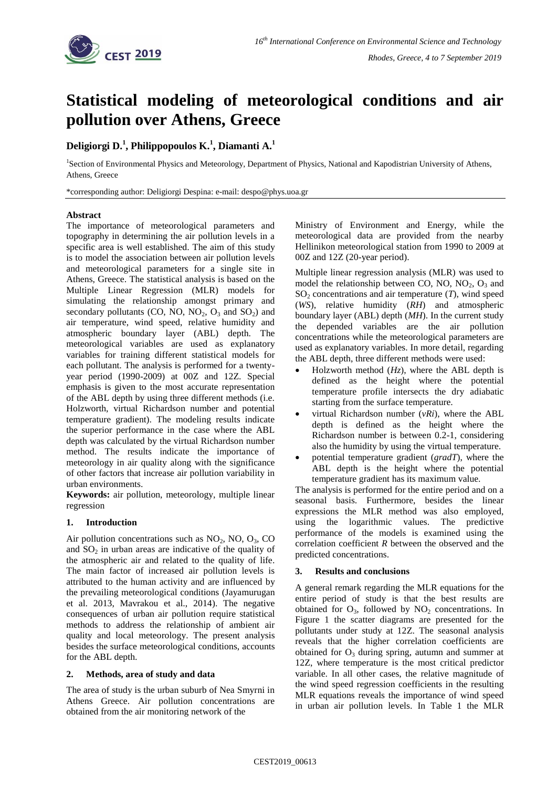

# **Statistical modeling of meteorological conditions and air pollution over Athens, Greece**

## **Deligiorgi D.<sup>1</sup> , Philippopoulos K.<sup>1</sup> , Diamanti A.<sup>1</sup>**

<sup>1</sup>Section of Environmental Physics and Meteorology, Department of Physics, National and Kapodistrian University of Athens, Athens, Greece

\*corresponding author: Deligiorgi Despina: e-mail: despo@phys.uoa.gr

### **Abstract**

The importance of meteorological parameters and topography in determining the air pollution levels in a specific area is well established. The aim of this study is to model the association between air pollution levels and meteorological parameters for a single site in Athens, Greece. The statistical analysis is based on the Multiple Linear Regression (MLR) models for simulating the relationship amongst primary and secondary pollutants (CO, NO,  $NO<sub>2</sub>$ ,  $O<sub>3</sub>$  and  $SO<sub>2</sub>$ ) and air temperature, wind speed, relative humidity and atmospheric boundary layer (ABL) depth. The meteorological variables are used as explanatory variables for training different statistical models for each pollutant. The analysis is performed for a twentyyear period (1990-2009) at 00Z and 12Z. Special emphasis is given to the most accurate representation of the ABL depth by using three different methods (i.e. Holzworth, virtual Richardson number and potential temperature gradient). The modeling results indicate the superior performance in the case where the ABL depth was calculated by the virtual Richardson number method. The results indicate the importance of meteorology in air quality along with the significance of other factors that increase air pollution variability in urban environments.

**Keywords:** air pollution, meteorology, multiple linear regression

### **1. Introduction**

Air pollution concentrations such as  $NO<sub>2</sub>$ , NO,  $O<sub>3</sub>$ , CO and  $SO<sub>2</sub>$  in urban areas are indicative of the quality of the atmospheric air and related to the quality of life. The main factor of increased air pollution levels is attributed to the human activity and are influenced by the prevailing meteorological conditions (Jayamurugan et al. 2013, Mavrakou et al., 2014). The negative consequences of urban air pollution require statistical methods to address the relationship of ambient air quality and local meteorology. The present analysis besides the surface meteorological conditions, accounts for the ABL depth.

### **2. Methods, area of study and data**

The area of study is the urban suburb of Nea Smyrni in Athens Greece. Air pollution concentrations are obtained from the air monitoring network of the

Ministry of Environment and Energy, while the meteorological data are provided from the nearby Hellinikon meteorological station from 1990 to 2009 at 00Z and 12Z (20-year period).

Multiple linear regression analysis (MLR) was used to model the relationship between CO, NO,  $NO<sub>2</sub>$ ,  $O<sub>3</sub>$  and  $SO<sub>2</sub>$  concentrations and air temperature  $(T)$ , wind speed (*WS*), relative humidity (*RH*) and atmospheric boundary layer (ABL) depth (*MH*). In the current study the depended variables are the air pollution concentrations while the meteorological parameters are used as explanatory variables. In more detail, regarding the ABL depth, three different methods were used:

- Holzworth method (*Hz*), where the ABL depth is defined as the height where the potential temperature profile intersects the dry adiabatic starting from the surface temperature.
- virtual Richardson number (*vRi*), where the ABL depth is defined as the height where the Richardson number is between 0.2-1, considering also the humidity by using the virtual temperature.
- potential temperature gradient (*gradT*), where the ABL depth is the height where the potential temperature gradient has its maximum value.

The analysis is performed for the entire period and on a seasonal basis. Furthermore, besides the linear expressions the MLR method was also employed, using the logarithmic values. The predictive performance of the models is examined using the correlation coefficient *R* between the observed and the predicted concentrations.

### **3. Results and conclusions**

A general remark regarding the MLR equations for the entire period of study is that the best results are obtained for  $O_3$ , followed by  $NO_2$  concentrations. In Figure 1 the scatter diagrams are presented for the pollutants under study at 12Z. The seasonal analysis reveals that the higher correlation coefficients are obtained for  $O_3$  during spring, autumn and summer at 12Z, where temperature is the most critical predictor variable. In all other cases, the relative magnitude of the wind speed regression coefficients in the resulting MLR equations reveals the importance of wind speed in urban air pollution levels. In Table 1 the MLR